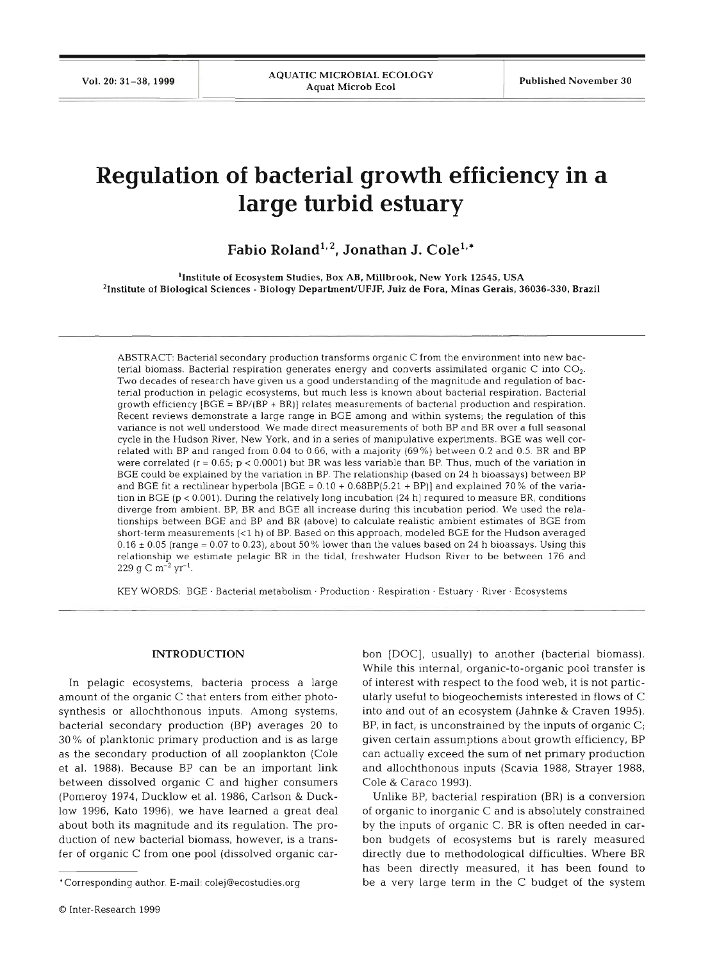# **Regulation of bacterial growth efficiency in a large turbid estuary**

Fabio Roland<sup>1,2</sup>, Jonathan J. Cole<sup>1,\*</sup>

'Institute of Ecosystem Studies, Box AB, Millbrook. New York **12545,** USA <sup>2</sup>Institute of Biological Sciences - Biology Department/UFJF, Juiz de Fora, Minas Gerais, 36036-330, Brazil

ABSTRACT: Bacterial secondary production transforms organic C from the environment into new bacterial biomass. Bacterial respiration generates energy and converts assimilated organic C into COz. Two decades of research have given us a good understanding of the magnitude and regulation of bacterial production in pelagic ecosystems, but much less is known about bacterial respiration. Bacterial growth efficiency [BGE = BP/(BP + BR)] relates measurements of bactenal production and respiration. Recent reviews demonstrate a large range in BGE among and within systems; the regulation of this variance is not well understood. We made direct measurements of both BP and BR over a full seas cycle in the Hudson River, New York, and in a series of manipulative experiments. BGE was well correlated with BP and ranged from 0.04 to 0.66, with a majority (69%) between 0.2 and 0.5. BR and BP were correlated ( $r = 0.65$ ;  $p < 0.0001$ ) but BR was less variable than BP. Thus, much of the variation in BGE could be explained by the vanation in BP. The relationship (based on 24 h bioassays) between BP and BGE fit a rectilinear hyperbola  $[BGE = 0.10 + 0.68BP(5.21 + BP)]$  and explained 70% of the variation in BGE (p < 0.001). During the relatively long incubation (24 h) requred to measure BR, conditions diverge from ambient. BP, BR and BGE all increase during this incubation period. We used the relationships between BGE and BP and BR (above) to calculate realistic ambient estimates of BGE from short-term measurements (<l h) of BP. Based on this approach, modeled BGE for the Hudson averaged  $0.16 \pm 0.05$  (range = 0.07 to 0.23), about 50% lower than the values based on 24 h bioassays. Using this relationship we estimate pelagic BR in the tidal, freshwater Hudson River to be between 176 and 229 g C m<sup>-2</sup> yr<sup>-1</sup>.

KEY WORDS: BGE · Bacterial metabolism · Production · Respiration · Estuary · River · Ecosystems

#### **INTRODUCT**

In pelagic ecosystems, bacteria process a large amount of the organic C that enters from either photosynthesis or allochthonous inputs. Among systems, bacterial secondary production (BP) averages 20 to 30% of planktonic primary production and is as large as the secondary production of all zooplankton (Cole et al. 1988). Because BP can be an important link between dissolved organic C and higher consumers (Pomeroy 1974, Ducklow et al. 1986, Carlson & Ducklow 1996, Kato 1996), we have learned a great deal about both its magnitude and its regulation. The production of new bacterial biomass, however, is a transfer of organic C from one pool (dissolved organic carbon [DOC], usually) to another (bacterial biomass). While this internal, organic-to-organic pool transfer is of interest with respect to the food web, it is not particularly useful to biogeochemists interested in flows of C into and out of an ecosystem (Jahnke & Craven 1995). BP, in fact, is unconstrained by the inputs of organic C; given certain assumptions about growth efficiency, BP can actually exceed the sum of net primary production and allochthonous inputs (Scavia 1988, Strayer 1988, Cole & Caraco 1993).

Unlike BP, bacterial respiration (BR) is a conversion of organic to inorganic C and is absolutely constrained by the inputs of organic C. BR is often needed in carbon budgets of ecosystems but is rarely measured directly due to methodological difficulties. Where BR has been directly measured, it has been found to be a very large term in the C budget of the system

<sup>&#</sup>x27;Corresponding author. E-mail: colej@ecostudies.org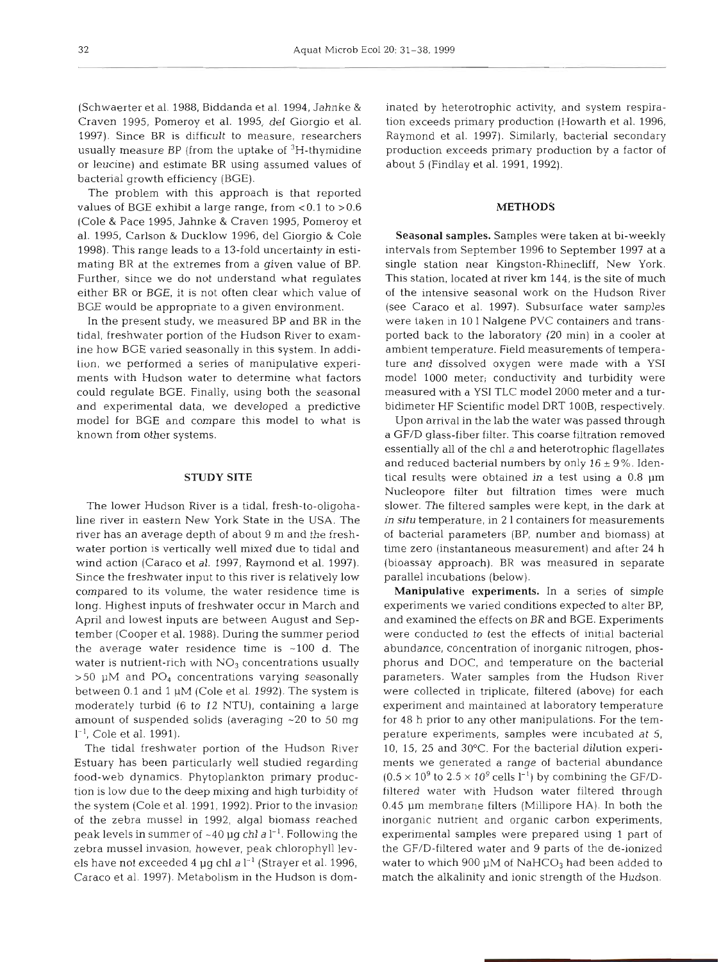(Schwaerter et al. 1988, Biddanda et al. 1994, Jahnke & Craven 1995, Pomeroy et al. 1995, del Giorgio et al. 1997). Since BR is difficult to measure, researchers usually measure BP (from the uptake of  ${}^{3}H$ -thymidine or leucine) and estimate BR using assumed values of bacterial growth efficiency (BGE).

The problem with this approach is that reported values of BGE exhibit a large range, from  $< 0.1$  to  $> 0.6$ (Cole & Pace 1995, Jahnke & Craven 1995, Pomeroy et al. 1995, Carlson & Ducklow 1996, del Giorgio & Cole 1998). This range leads to a 13-fold uncertainty in estimating BR at the extremes from a given value of BP. Further, since we do not understand what regulates either BR or BGE, it is not often clear which value of BGE would be appropriate to a given environment.

In the present study, we measured BP and BR in the tidal, freshwater portion of the Hudson River to examine how BGE varied seasonally in this system. In addi-Lion, we performed a series of manipulative experiments with Hudson water to determine what factors could regulate BGE. Finally, using both the seasonal and experimental data, we developed a predictive model for BGE and compare this model to what is known from other systems.

#### **STUDY SITE**

The lower Hudson River is a tidal, fresh-to-oligohaline river in eastern New York State in the USA. The river has an average depth of about 9 m and the freshwater portion is vertically well mixed due to tidal and wind action (Caraco et al. 1997, Raymond et al. 1997). Since the freshwater input to this river is relatively low compared to its volume, the water residence time is long. Highest inputs of freshwater occur in March and April and lowest inputs are between August and September (Cooper et al. 1988). During the summer period the average water residence time is  $~100$  d. The water is nutrient-rich with  $NO<sub>3</sub>$  concentrations usually  $>50$  µM and PO<sub>4</sub> concentrations varying seasonally between 0.1 and 1 pM (Cole et al. 1992). The system is moderately turbid (6 to 12 NTU), containing a large amount of suspended solids (averaging  $~20$  to 50 mg  $l^{-1}$ , Cole et al. 1991).

The tidal freshwater portion of the Hudson River Estuary has been particularly well studied regarding food-web dynamics. Phytoplankton primary production is low due to the deep mixing and high turbidity of the system (Cole et al. 1991, 1992). Prior to the invasion of the zebra mussel in 1992, algal biomass reached peak levels in summer of  $~10$  pg chl a  $l^{-1}$ . Following the zebra mussel invasion, however, peak chlorophyll levels have not exceeded 4 **pg** chl a 1-' (Strayer et al. 1996, Caraco et al. 1997). Metabolism in the Hudson is dom-

atad by heterotophic activity, and system respira-<br>and on exceeds primary production (Howarth et al. 1996,<br>aymond et al. 1997). Smillarly, bacterial secondary<br>aymond et al. 1997). Smillarly, bacterial secondary<br>production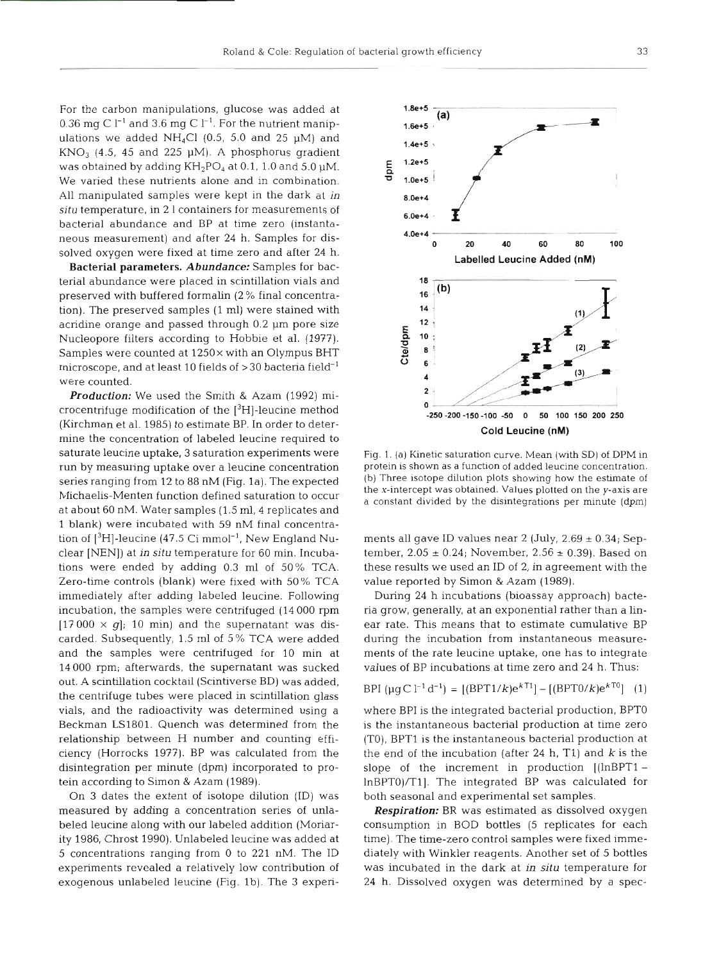For the carbon manipulations, glucose was added at 0.36 mg C  $l^{-1}$  and 3.6 mg C  $l^{-1}$ . For the nutrient manipulations we added NH<sub>4</sub>Cl (0.5, 5.0 and 25  $\mu$ M) and  $KNO<sub>3</sub>$  (4.5, 45 and 225 µM). A phosphorus gradient was obtained by adding  $KH_2PO_4$  at 0.1, 1.0 and 5.0  $\mu$ M. We varied these nutrients alone and in combination. All manipulated samples were kept in the dark at in *situ* temperature, in 2 l containers for measurements of bacterial abundance and BP at time zero (instantaneous measurement) and after 24 h. Samples for dissolved oxygen were fixed at time zero and after 24 h.

Bacterial parameters. *Abundance:* Samples for bacterial abundance were placed in scintillation vials and preserved with buffered formalin (2 % final concentration). The preserved samples (1 ml) were stained with acridine orange and passed through 0.2 µm pore size Nucleopore filters according to Hobbie et al. (1977). Samples were counted at  $1250\times$  with an Olympus BHT microscope, and at least 10 fields of  $>$  30 bacteria field<sup>-1</sup> were counted.

*Production:* We used the Smith & Azam (1992) microcentrifuge modification of the  $[{}^{3}H]$ -leucine method (Kirchman et al. 1985) to estimate BP. In order to determine the concentration of labeled leucine required to saturate leucine uptake, 3 saturation experiments were run by measuring uptake over a leucine concentration series ranging from 12 to 88 nM (Fig. 1a). The expected Michaelis-Menten function defined saturation to occur at about 60 nM. Water samples (1.5 ml, 4 replicates and 1 blank) were incubated with 59 nM final concentration of  $[3H]$ -leucine (47.5 Ci mmol<sup>-1</sup>, New England Nuclear [NEN]) at in situ temperature for 60 min. Incubations were ended by adding 0.3 m1 of 50% TCA. Zero-time controls (blank) were fixed with 50 % TCA immediately after adding labeled leucine. Following incubation, the samples were centrifuged (14 000 rpm  $[17000 \times q]$ ; 10 min) and the supernatant was discarded. Subsequently, 1.5 m1 of 5% TCA were added and the samples were centrifuged for 10 min at 14000 rpm; afterwards, the supernatant was sucked out. A scintillation cocktail (Scintiverse BD) was added, the centrifuge tubes were placed in scintillation glass vials, and the radioactivity was determined using a Beckman LS1801. Quench was determined from the relationship between H number and counting efficiency (Horrocks 1977). BP was calculated from the disintegration per minute (dpm) incorporated to protein according to Simon & Azam (1989).

On 3 dates the extent of isotope dilution (ID) was measured by adding a concentration series of unlabeled leucine along with our labeled addition (Moriarity 1986, Chrost 1990). Unlabeled leucine was added at 5 concentrations ranging from 0 to 221 nM. The ID experiments revealed a relatively low contribution of exogenous unlabeled leucine (Fig. lb). The **3** experi-



Fig. 1. (a) Kinelic saturation curve. Mean (with SD) of DPM is<br>protein is shown as a function of added leucine concentation<br>(b) Three isotope dilution plots showing how the estimate of<br>the *x*-intercept was obtained. Valu

$$
BPI \, (\mu g \, C \, l^{-1} \, d^{-1}) = \left[ (BPT1/k) e^{k \, T1} \right] - \left[ (BPT0/k) e^{k \, T0} \right] \tag{1}
$$

lnBPTO)/Tl]. The integrated BP was calculated for both seasonal and experimental set samples.

**Respiration:** BR was estimated as dissolved oxygen consumption in BOD bottles (5 replicates for each time). The time-zero control samples were fixed immediately with Winkler reagents. Another set of 5 bottles was incubate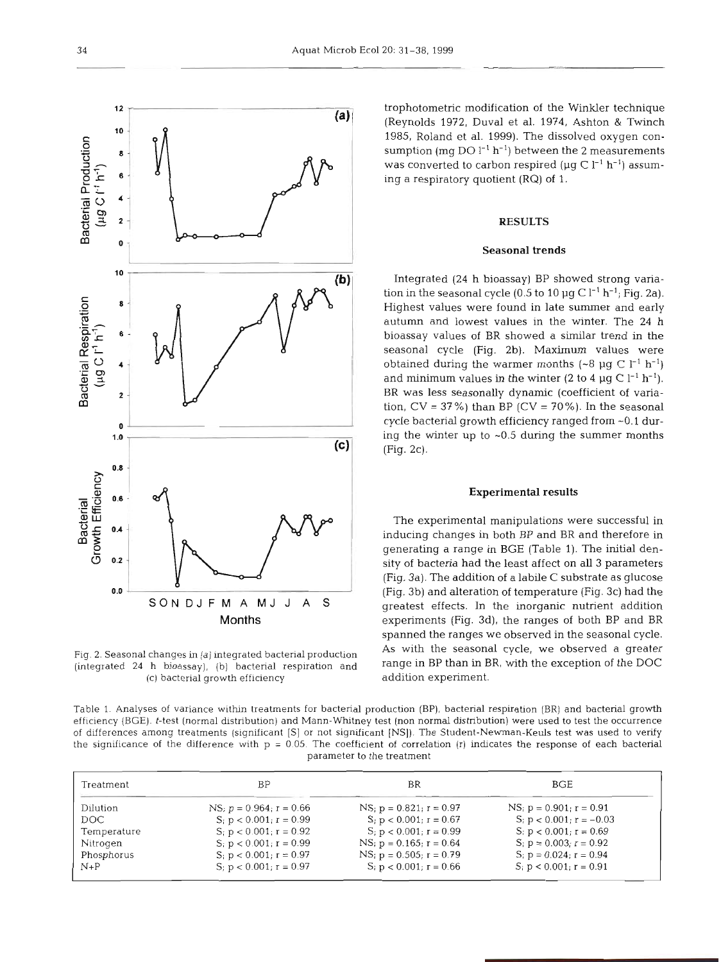$12$  $(a)$ 10 Bacterial Production .- **<sup>0</sup> C <sup>3</sup>**-  $\mathbf{B}$   $\mathbf{B}$  $\blacksquare$  **m**  $\blacksquare$  $\overline{\phantom{a}}$ **5-**  ([I **<sup>m</sup>** 10 **l0**   $(b)$ **Bacterial Respiration <sup>0</sup>***8* -- **.E** -  $(\mu g C I^1 h^1)$ 6 4 **'C CI) a <sup>5</sup> -W**   $2 + 2$ 0 **0**   $1.0$ **1 .o**   $(c)$  $0.8$ Growth Efficiency **5 C 0.6 -** Q **Bacterial Gw \$j5 04**  m **z E**  0 **0.2** -  $0.0$ **0.0** - SON DJ F M A MJ J A **S Months** 

Fig. 2. Seasonal changes in (a) integrated bactenal production (integrated 24 h bioassay), (b) bacterial respiration and (C) bacterial growth efficiency

trophotometric modification of the Winkler technique (Reynolds 1972, Duval et al. 1974, Ashton & Twinch 1985, Roland et al. 1999). The dissolved oxygen consumption (mg DO  $l^{-1}$  h<sup>-1</sup>) between the 2 measurements was converted to carbon respired ( $\mu$ g C l<sup>-1</sup> h<sup>-1</sup>) assuming a respiratory quotient (RQ) of 1.

# RESULTS

#### Seasonal trends

Integrated (24 h bioassay) BP showed strong variation in the seasonal cycle (0.5 to 10  $\mu$ g C l<sup>-1</sup> h<sup>-1</sup>; Fig. 2a). Highest values were found in late summer and early autumn and lowest values in the winter. The 24 h bioassay values of BR showed a similar trend in the seasonal cycle (Fig. 2b). Maximum values were obtained during the warmer months  $({\sim}8 \text{ µg C } l^{-1} \text{ h}^{-1})$ and minimum values in the winter (2 to 4  $\mu$ g C l<sup>-1</sup> h<sup>-1</sup>). BR was less seasonally dynamic (coefficient of variation,  $CV = 37\%$ ) than BP ( $CV = 70\%$ ). In the seasonal cycle bacterial growth efficiency ranged from -0.1 during the winter up to  $\sim 0.5$  during the summer months (Fig. 2c).

# Experimental results

The experimental manipulations were successful in inducing changes in both BP and BR and therefore in generating a range in BGE (Table 1). The initial density of bacteria had the least affect on all 3 parameters (Fig. 3a). The addition of a labile C substrate as glucose (Fig. 3b) and alteration of temperature (Fig. 3c) had the greatest effects. In the inorganic nutrient addition experiments (Fig. 3d), the ranges of both BP and BR spanned the ranges we observed in the seasonal cycle. As with the seasonal cycle, we observed a greater range in BP than in BR, with the exception of the DOC addition experiment.

Table 1. Analyses of variance withln treatments for bacterial production (BP), bacterial respiration (BR) and bacterial growth efficiency (BGE). t-test (normal distribution) and Mann-Whltney test (non normal distribution) were used to test the occurrence of differences among treatments (significant [S] or not significant [NS]). The Student-Newman-Keuls test was used to venfy the significance of the difference with  $p = 0.05$ . The coefficient of correlation (r) indicates the response of each bacterial parameter to the treatment

| Treatment   | ΒP                               | ΒR                              | BGE                              |
|-------------|----------------------------------|---------------------------------|----------------------------------|
| Dilution    | $NS$ ; $p = 0.964$ ; $r = 0.66$  | $NS$ ; $p = 0.821$ ; $r = 0.97$ | $NS$ ; $p = 0.901$ ; $r = 0.91$  |
| DOC.        | $S_i$ ; $p < 0.001$ ; $r = 0.99$ | $S_i p < 0.001$ ; $r = 0.67$    | $S_i$ p < 0.001; r = -0.03       |
| Temperature | $S_i$ p < 0.001; r = 0.92        | $S; p < 0.001; r = 0.99$        | $S_i$ p < 0.001; r = 0.69        |
| Nitrogen    | $S_i$ p < 0.001; r = 0.99        | $NS$ ; $p = 0.165$ ; $r = 0.64$ | $S_i$ ; $p = 0.003$ ; $r = 0.92$ |
| Phosphorus  | S; $p < 0.001$ ; $r = 0.97$      | $NS$ ; $p = 0.505$ ; $r = 0.79$ | $S_i$ ; $p = 0.024$ ; $r = 0.94$ |
| $N+P$       | $Si p < 0.001; r = 0.97$         | $S_i$ p < 0.001; r = 0.66       | $S_i$ ; $p < 0.001$ ; $r = 0.91$ |
|             |                                  |                                 |                                  |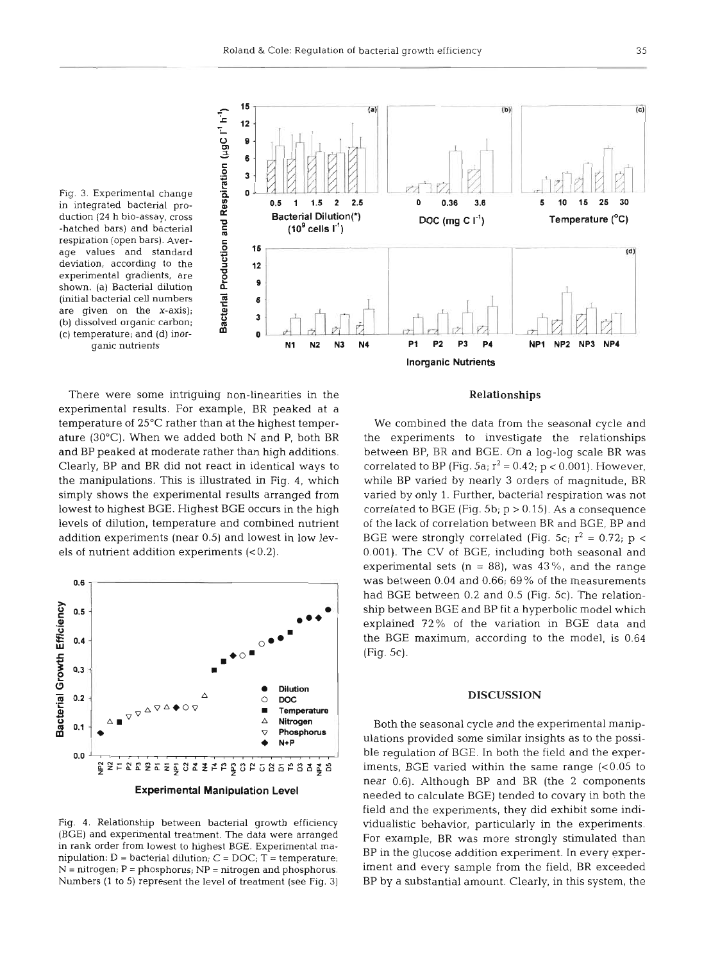

Fig. 3. Experimental change respiration (open bars). Average values and standard **C** 15<br>deviation, according to the **12** experimental gradients, are shown. (a) Bacterial dilution (initial bacterial cell numbers **<sup>m</sup>** are given on the x-axis); (b) dissolved organic carbon; (c) temperature; and (d) inor-

There were some intriguing non-lineanties in the experimental results. For example, BR peaked at a temperature of 25°C rather than at the highest temperature (30°C). When we added both N and P, both BR and BP peaked at moderate rather than high additions. Clearly, BP and BR did not react in identical ways to the manipulations. This is illustrated in Fig. 4, which simply shows the experimental results arranged from lowest to highest BGE. Highest BGE occurs in the high levels of dilution, temperature and combined nutrient addition experiments (near 0.5) and lowest in low levels of nutrient addition experiments  $( $0.2$ ).$ 



Fig. 4. Relationship between bacterial growth efficiency (BGE) and experimental treatment. The data were arranged in rank order from lowest to highest BGE. Experimental manipulation:  $D =$  bacterial dilution;  $C = DOC$ ;  $T =$  temperature; N = nitrogen; P = phosphorus; NP = nitrogen and phosphorus. Numbers **(1** to 5) represent the level of treatment (see Fig. **3)** 

## Relationships

We combined the data from the seasonal cycle and the experiments to investigate the relationships between BP, BR and BGE. On a log-log scale BR was correlated to BP (Fig. 5a;  $r^2 = 0.42$ ;  $p < 0.001$ ). However, while BP varied by nearly **3** orders of magnitude, BR varied by only 1. Further, bacterial respiration was not correlated to BGE (Fig. 5b;  $p > 0.15$ ). As a consequence of the lack of correlation between BR and BGE, BP and BGE were strongly correlated (Fig. 5c;  $r^2 = 0.72$ ;  $p <$ 0.001). The CV of BGE, including both seasonal and experimental sets  $(n = 88)$ , was 43%, and the range was between 0.04 and 0.66; 69% of the measurements had BGE between 0.2 and 0.5 (Fig. 5c). The relationship between BGE and BP fit a hyperbolic model which explained 72% of the variation in BGE data and the BGE maximum, according to the model, is 0.64 (Fig. 5c).

#### **DISCUSSION**

Both the seasonal cycle and the experimental manipulations provided some similar insights as to the possible regulation of BGE. In both the field and the experiments, BGE varied within the same range (<0.05 to near 0.6). Although BP and BR (the 2 components needed to calculate BGE) tended to covary in both the field and the experiments, they did exhbit some individualistic behavior, particularly in the experiments. For example, BR was more strongly stimulated than BP in the glucose addition experiment. In every experiment and every sample from the field, BR exceeded BP by a substantial amount. Clearly, in this system, the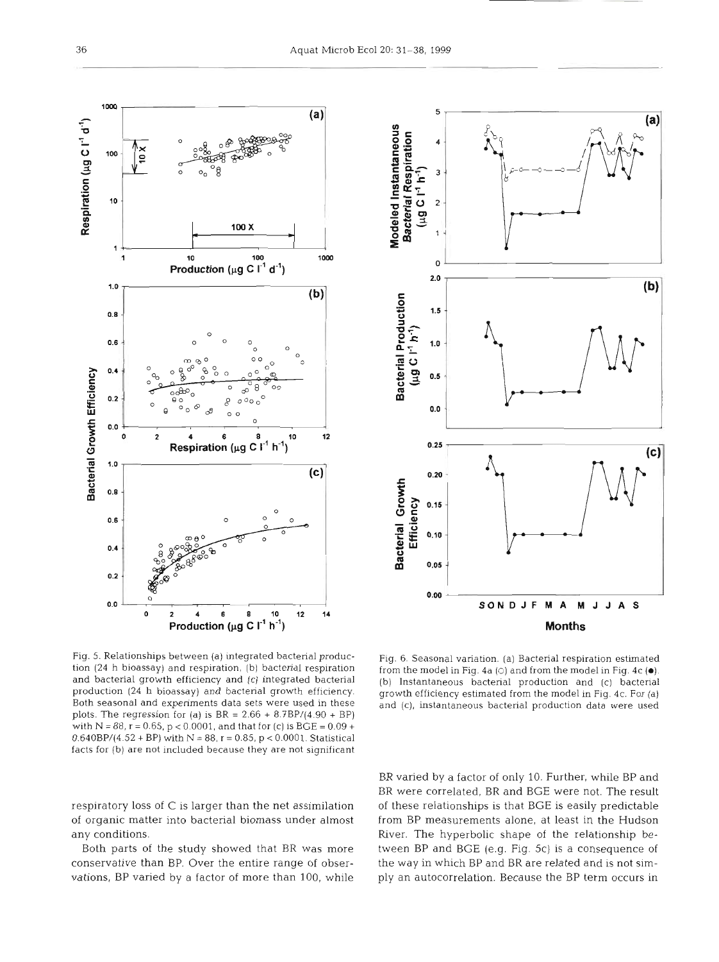and bacterial growth efficiency and (c) integrated bacterial (b) Instantaneous bacterial production and (c) bacterial Both seasonal and experiments data sets were used in these and (C), instantaneous bacterial production data were used plots. The regression for (a) is  $BR = 2.66 + 8.7BP/(4.90 + BP)$ with  $N = 88$ ,  $r = 0.65$ ,  $p < 0.0001$ , and that for (c) is  $BGE = 0.09 +$  $0.640BP/(4.52 + BP)$  with  $N = 88$ ,  $r = 0.85$ ,  $p < 0.0001$ . Statistical facts for (b) are not included because they are not significant

respiratory loss of C is larger than the net assimilation of organic matter into bacterial biomass under almost

Both parts of the study showed that BR was more conservative than BP. Over the entire range of observations, BP varied by a factor of more than 100, while

any conditions.

BR varied by a factor of only 10. Further, while BP and BR were correlated, BR and BGE were not. The result of these relationships is that BGE is easily predictable from BP measurements alone, at least in the Hudson River. The hyperbolic shape of the relationship between BP and BGE (e.g. Fig. 5c) is a consequence of the way in which BP and BR are related and is not simply an autocorrelation. Because the BP term occurs in

tion (24 h bioassay) and respiration, (b) bacterial respiration from the model in Fig. 4a (c) and from the model in Fig. 4c ( $\bullet$ ).<br>
and bacterial growth efficiency and (c) integrated bacterial (b) Instantaneous bacterial growth efficiency estimated from the model in Fig. 4c. For (a)



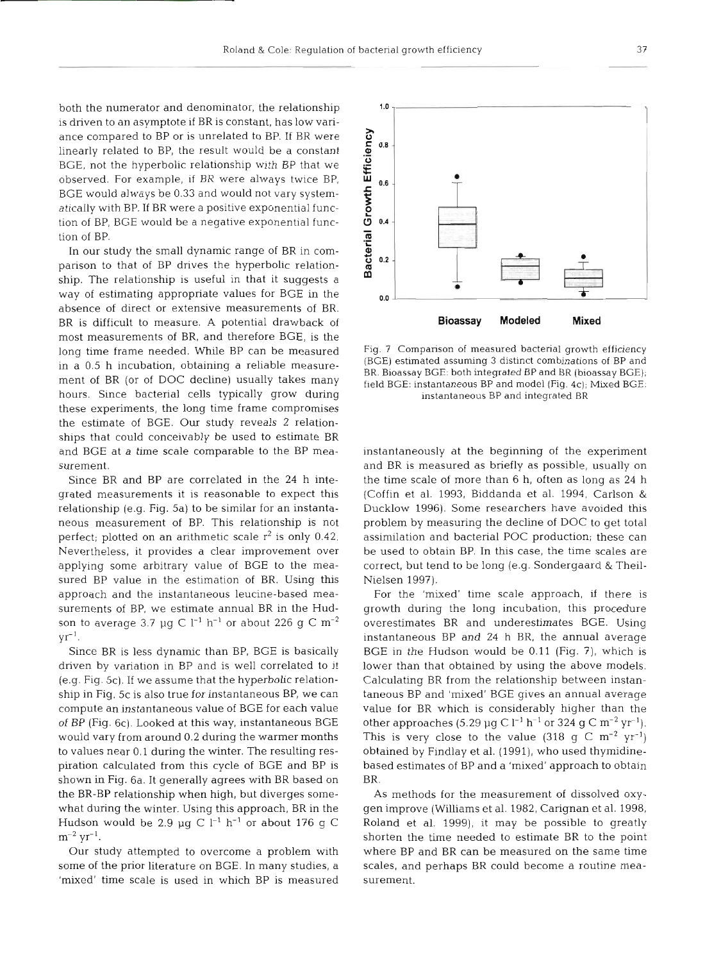both the numerator and denominator, the relationship is driven to an asymptote if BR is constant, has low variance compared to BP or is unrelated to BP. If BR were linearly related to BP, the result would be a constant BGE, not the hyperbolic relationship with BP that we observed. For example, if BR were always twice BP, BGE would always be 0.33 and would not vary systematically with BP. If BR were a positive exponential function of BP, BGE would be a negative exponential function of Bl

In our study the small dynamic range of BR in comparison to that of BP drives the hyperbolic relationship. The relationship is useful in that it suggests a way of estimating appropriate values for BGE in the absence of direct or extensive measurements of BR. BR is difficult to measure. **A** potential drawback of most measurements of BR, and therefore BGE, is the long time frame needed. While BP can be measured in a 0.5 h incubation, obtaining a reliable measurement of BR (or of DOC decline) usually takes many hours. Since bacterial cells typically grow during these experiments, the long time frame compromises the estimate of BGE. **Our** study reveals 2 relationships that could conceivably be used to estimate BR and BGE at a time scale comparable to the BP measurement.

Since BR and BP are correlated in the 24 h integrated measurements it is reasonable to expect this relationship (e.g. Fig. 5a) to be similar for an instantaneous measurement of BP. This relationship is not perfect; plotted on an arithmetic scale  $r^2$  is only 0.42. Nevertheless, it provides a clear improvement over applying some arbitrary value of BGE to the measured BP value in the estimation of BR. Using this approach and the instantaneous leucine-based measurements of BP, we estimate annual BR in the Hudson to average 3.7 µg C  $l^{-1}$  h<sup>-1</sup> or about 226 g C m<sup>-2</sup>  $yr^{-1}$ .

Since BR is less dynamic than BP, BGE is basically driven by variation in BP and is well correlated to it (e.g. Fig. 5c). If we assume that the hyperbolic relationship in Fig. 5c is also true for instantaneous BP, we can compute an instantaneous value of BGE for each value of BP (Fig. 6c). Looked at this way, instantaneous BGE would vary from around 0.2 during the warmer months to values near 0.1 during the winter. The resulting respiration calculated from this cycle of BGE and BP is shown in Fig. 6a. It generally agrees with BR based on the BR-BP relationship when high, but diverges somewhat during the winter. Using this approach, BR in the Hudson would be 2.9 µg C  $l^{-1}$  h<sup>-1</sup> or about 176 g C  $m^{-2}$  yr<sup>-1</sup>.

Our study attempted to overcome a problem with some of the prior literature on BGE. In many studies, a  $^{\prime}$  mixed $^{\prime}$  time scale is used in which BP is measure

Fig. **7** Comparison of measured bacterial growth efficiency (BGE) estimated assuming **3** distinct combinations of BP and BR. Bioassay BGE: both integrated BP and BR (bioassay BGE); field BGE: instantaneous BP and model (Fig. 4c); Mixed BGE: instantaneous BP and integrated BR

instantaneously at the beginning of the experiment and BR is measured as briefly as possible, usually on the time scale of more than 6 h, often as long as 24 h (Coffin et al. 1993, Biddanda et al. 1994, Carlson & Ducklow 1996). Some researchers have avoided this problem by measuring the decline of DOC to get total assimilation and bacterial POC production; these can be used to obtain BP. In this case, the time scales are correct, but tend to be long (e.g. Sondergaard & Theil-Nielsen 1997).

For the 'mixed' time scale approach, if there is growth during the long incubation, this procedure overestimates BR and underestimates BGE. Using instantaneous BP and 24 h BR, the annual average BGE in the Hudson would be 0.11 (Fig. ?), which is lower than that obtained by using the above models. Calculating BR from the relationship between instantaneous BP and 'mixed' BGE gives an annual average value for BR which is considerably higher than the other approaches (5.29  $\mu$ g C l<sup>-1</sup> h<sup>-1</sup> or 324 g C m<sup>-2</sup> yr<sup>-1</sup>). This is very close to the value (318 g C  $m^{-2}$  yr<sup>-1</sup>) obtained by Findlay et al. (1991), who used thymidinebased estimates of BP and a 'mixed' approach to obtain BR.

As methods for the measurement of dissolved oxygen improve (Williams et al. 1982, Carignan et al. 1998, Roland et al. 1999), it may be possible to greatly shorten the time needed to estimate BR to the point where BP and BR can be measured on the same tim scales, and perhaps BR could become a routine measurement.